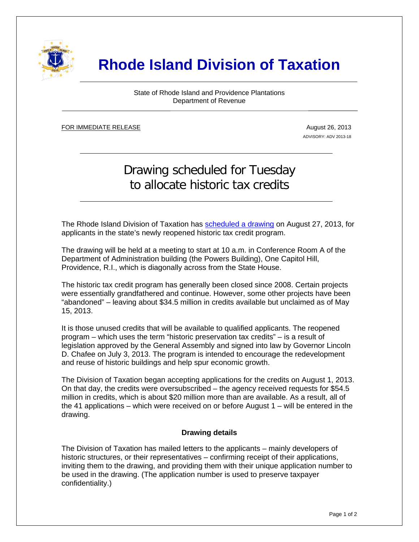

## **Rhode Island Division of Taxation**

State of Rhode Island and Providence Plantations Department of Revenue

FOR IMMEDIATE RELEASE ٦

i

August 26, 2013 ADVISORY: ADV 2013-18

## Drawing scheduled for Tuesday to allocate historic tax credits

The Rhode Island Division of Taxation has [scheduled a drawing](http://www.sos.ri.gov/documents/publicinfo/omdocs/notices/5026/2013/147397.pdf) on August 27, 2013, for applicants in the state's newly reopened historic tax credit program.

The drawing will be held at a meeting to start at 10 a.m. in Conference Room A of the Department of Administration building (the Powers Building), One Capitol Hill, Providence, R.I., which is diagonally across from the State House.

The historic tax credit program has generally been closed since 2008. Certain projects were essentially grandfathered and continue. However, some other projects have been "abandoned" – leaving about \$34.5 million in credits available but unclaimed as of May 15, 2013.

It is those unused credits that will be available to qualified applicants. The reopened program – which uses the term "historic preservation tax credits" – is a result of legislation approved by the General Assembly and signed into law by Governor Lincoln D. Chafee on July 3, 2013. The program is intended to encourage the redevelopment and reuse of historic buildings and help spur economic growth.

The Division of Taxation began accepting applications for the credits on August 1, 2013. On that day, the credits were oversubscribed – the agency received requests for \$54.5 million in credits, which is about \$20 million more than are available. As a result, all of the 41 applications – which were received on or before August 1 – will be entered in the drawing.

## **Drawing details**

The Division of Taxation has mailed letters to the applicants – mainly developers of historic structures, or their representatives – confirming receipt of their applications, inviting them to the drawing, and providing them with their unique application number to be used in the drawing. (The application number is used to preserve taxpayer confidentiality.)